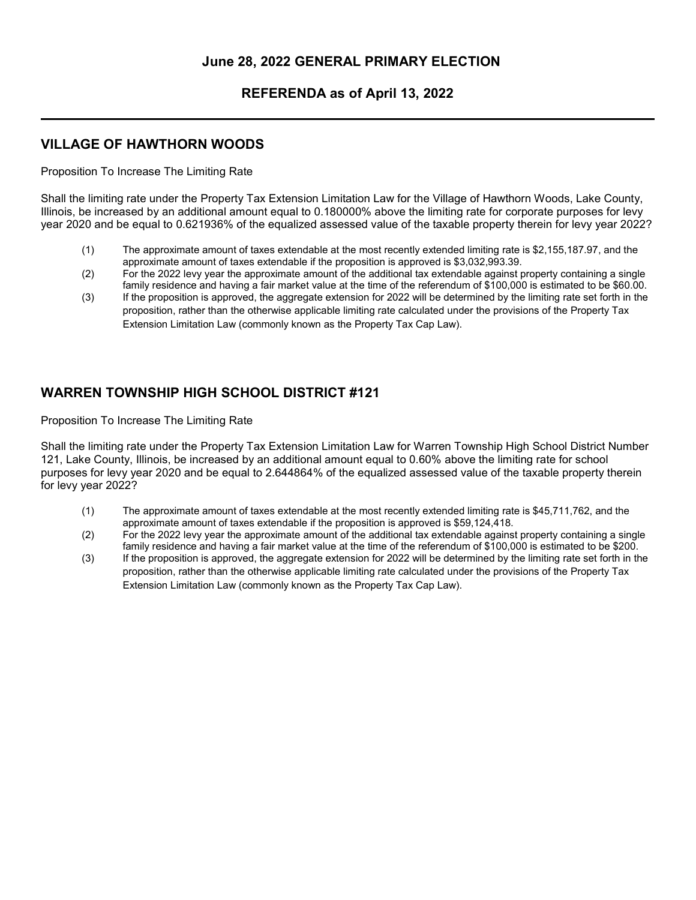### June 28, 2022 GENERAL PRIMARY ELECTION

#### REFERENDA as of April 13, 2022

#### VILLAGE OF HAWTHORN WOODS

Proposition To Increase The Limiting Rate

Shall the limiting rate under the Property Tax Extension Limitation Law for the Village of Hawthorn Woods, Lake County, Illinois, be increased by an additional amount equal to 0.180000% above the limiting rate for corporate purposes for levy year 2020 and be equal to 0.621936% of the equalized assessed value of the taxable property therein for levy year 2022?

- (1) The approximate amount of taxes extendable at the most recently extended limiting rate is \$2,155,187.97, and the approximate amount of taxes extendable if the proposition is approved is \$3,032,993.39.
- (2) For the 2022 levy year the approximate amount of the additional tax extendable against property containing a single family residence and having a fair market value at the time of the referendum of \$100,000 is estimated to be \$60.00.
- (3) If the proposition is approved, the aggregate extension for 2022 will be determined by the limiting rate set forth in the proposition, rather than the otherwise applicable limiting rate calculated under the provisions of the Property Tax Extension Limitation Law (commonly known as the Property Tax Cap Law).

## WARREN TOWNSHIP HIGH SCHOOL DISTRICT #121

Proposition To Increase The Limiting Rate

Shall the limiting rate under the Property Tax Extension Limitation Law for Warren Township High School District Number 121, Lake County, Illinois, be increased by an additional amount equal to 0.60% above the limiting rate for school purposes for levy year 2020 and be equal to 2.644864% of the equalized assessed value of the taxable property therein for levy year 2022?

- (1) The approximate amount of taxes extendable at the most recently extended limiting rate is \$45,711,762, and the approximate amount of taxes extendable if the proposition is approved is \$59,124,418.
- (2) For the 2022 levy year the approximate amount of the additional tax extendable against property containing a single family residence and having a fair market value at the time of the referendum of \$100,000 is estimated to be \$200.
- (3) If the proposition is approved, the aggregate extension for 2022 will be determined by the limiting rate set forth in the proposition, rather than the otherwise applicable limiting rate calculated under the provisions of the Property Tax Extension Limitation Law (commonly known as the Property Tax Cap Law).